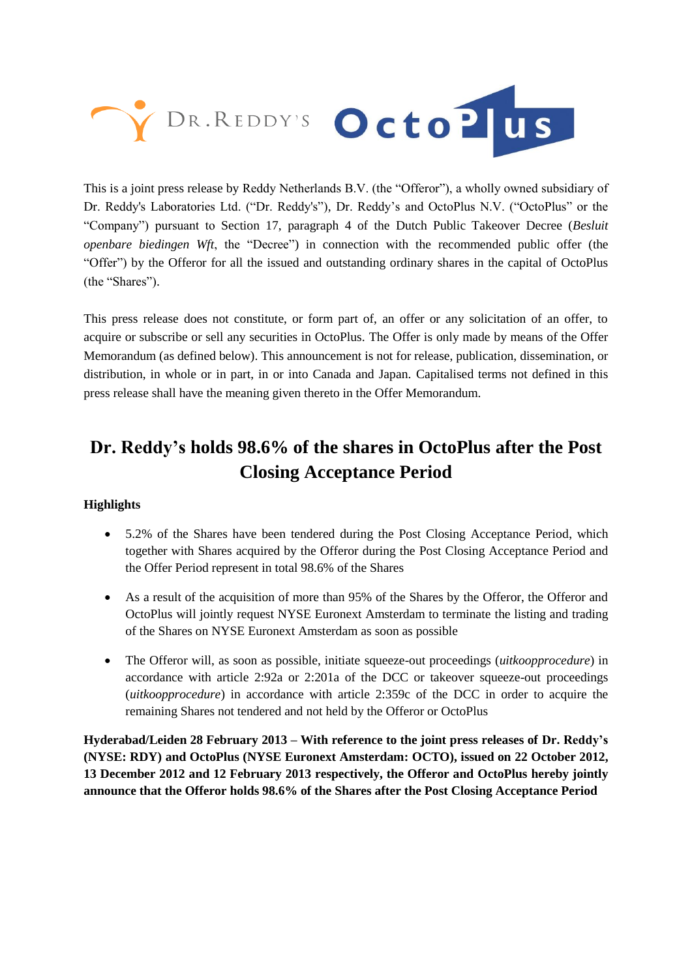

This is a joint press release by Reddy Netherlands B.V. (the "Offeror"), a wholly owned subsidiary of Dr. Reddy's Laboratories Ltd. ("Dr. Reddy's"), Dr. Reddy's and OctoPlus N.V. ("OctoPlus" or the "Company") pursuant to Section 17, paragraph 4 of the Dutch Public Takeover Decree (*Besluit openbare biedingen Wft*, the "Decree") in connection with the recommended public offer (the "Offer") by the Offeror for all the issued and outstanding ordinary shares in the capital of OctoPlus (the "Shares").

This press release does not constitute, or form part of, an offer or any solicitation of an offer, to acquire or subscribe or sell any securities in OctoPlus. The Offer is only made by means of the Offer Memorandum (as defined below). This announcement is not for release, publication, dissemination, or distribution, in whole or in part, in or into Canada and Japan. Capitalised terms not defined in this press release shall have the meaning given thereto in the Offer Memorandum.

# **Dr. Reddy's holds 98.6% of the shares in OctoPlus after the Post Closing Acceptance Period**

## **Highlights**

- 5.2% of the Shares have been tendered during the Post Closing Acceptance Period, which together with Shares acquired by the Offeror during the Post Closing Acceptance Period and the Offer Period represent in total 98.6% of the Shares
- As a result of the acquisition of more than 95% of the Shares by the Offeror, the Offeror and OctoPlus will jointly request NYSE Euronext Amsterdam to terminate the listing and trading of the Shares on NYSE Euronext Amsterdam as soon as possible
- The Offeror will, as soon as possible, initiate squeeze-out proceedings (*uitkoopprocedure*) in accordance with article 2:92a or 2:201a of the DCC or takeover squeeze-out proceedings (*uitkoopprocedure*) in accordance with article 2:359c of the DCC in order to acquire the remaining Shares not tendered and not held by the Offeror or OctoPlus

**Hyderabad/Leiden 28 February 2013 – With reference to the joint press releases of Dr. Reddy's (NYSE: RDY) and OctoPlus (NYSE Euronext Amsterdam: OCTO), issued on 22 October 2012, 13 December 2012 and 12 February 2013 respectively, the Offeror and OctoPlus hereby jointly announce that the Offeror holds 98.6% of the Shares after the Post Closing Acceptance Period**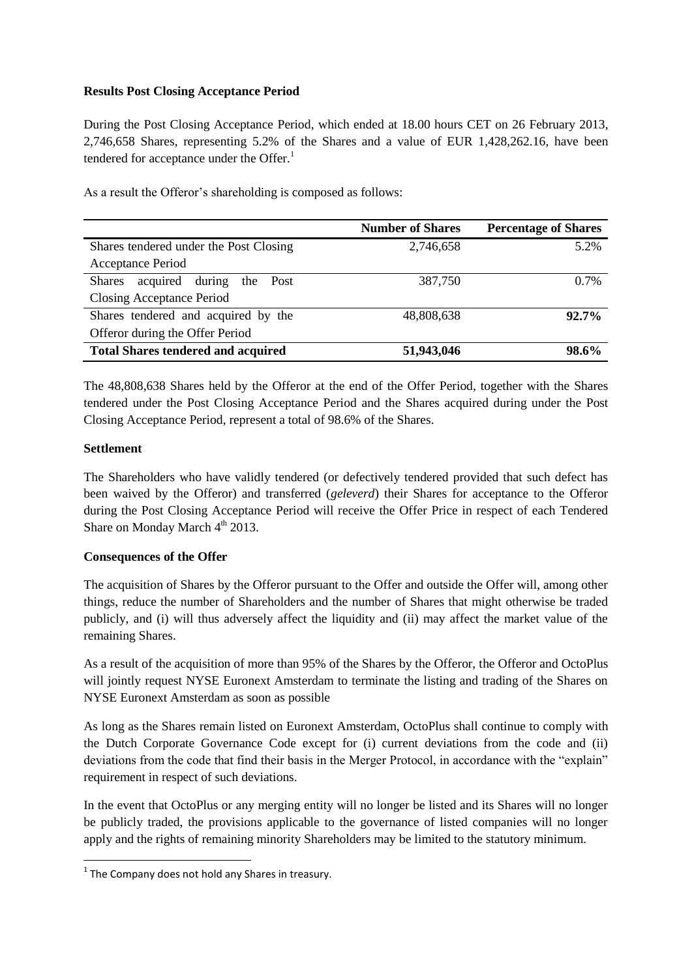## **Results Post Closing Acceptance Period**

During the Post Closing Acceptance Period, which ended at 18.00 hours CET on 26 February 2013, 2,746,658 Shares, representing 5.2% of the Shares and a value of EUR 1,428,262.16, have been tendered for acceptance under the Offer.<sup>1</sup>

|                                              | <b>Number of Shares</b> | <b>Percentage of Shares</b> |
|----------------------------------------------|-------------------------|-----------------------------|
| Shares tendered under the Post Closing       | 2,746,658               | 5.2%                        |
| <b>Acceptance Period</b>                     |                         |                             |
| acquired during<br><b>Shares</b><br>the Post | 387,750                 | $0.7\%$                     |
| <b>Closing Acceptance Period</b>             |                         |                             |
| Shares tendered and acquired by the          | 48,808,638              | $92.7\%$                    |
| Offeror during the Offer Period              |                         |                             |
| <b>Total Shares tendered and acquired</b>    | 51,943,046              | 98.6%                       |

As a result the Offeror's shareholding is composed as follows:

The 48,808,638 Shares held by the Offeror at the end of the Offer Period, together with the Shares tendered under the Post Closing Acceptance Period and the Shares acquired during under the Post Closing Acceptance Period, represent a total of 98.6% of the Shares.

## **Settlement**

The Shareholders who have validly tendered (or defectively tendered provided that such defect has been waived by the Offeror) and transferred (*geleverd*) their Shares for acceptance to the Offeror during the Post Closing Acceptance Period will receive the Offer Price in respect of each Tendered Share on Monday March 4<sup>th</sup> 2013.

## **Consequences of the Offer**

The acquisition of Shares by the Offeror pursuant to the Offer and outside the Offer will, among other things, reduce the number of Shareholders and the number of Shares that might otherwise be traded publicly, and (i) will thus adversely affect the liquidity and (ii) may affect the market value of the remaining Shares.

As a result of the acquisition of more than 95% of the Shares by the Offeror, the Offeror and OctoPlus will jointly request NYSE Euronext Amsterdam to terminate the listing and trading of the Shares on NYSE Euronext Amsterdam as soon as possible

As long as the Shares remain listed on Euronext Amsterdam, OctoPlus shall continue to comply with the Dutch Corporate Governance Code except for (i) current deviations from the code and (ii) deviations from the code that find their basis in the Merger Protocol, in accordance with the "explain" requirement in respect of such deviations.

In the event that OctoPlus or any merging entity will no longer be listed and its Shares will no longer be publicly traded, the provisions applicable to the governance of listed companies will no longer apply and the rights of remaining minority Shareholders may be limited to the statutory minimum.

**The Company does not hold any Shares in treasury.**<br><sup>1</sup> The Company does not hold any Shares in treasury.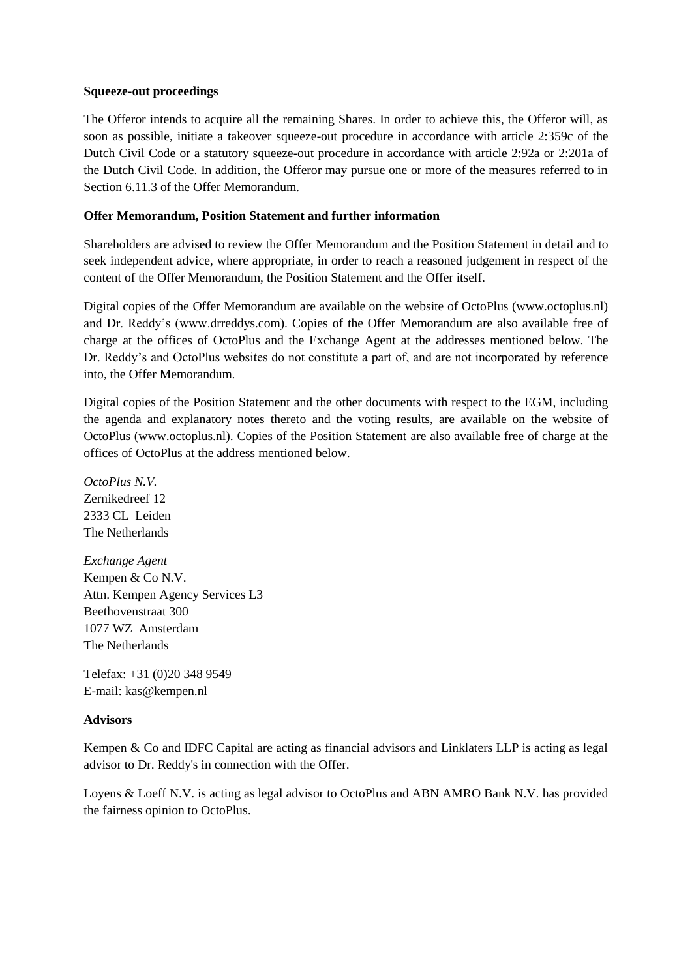### **Squeeze-out proceedings**

The Offeror intends to acquire all the remaining Shares. In order to achieve this, the Offeror will, as soon as possible, initiate a takeover squeeze-out procedure in accordance with article 2:359c of the Dutch Civil Code or a statutory squeeze-out procedure in accordance with article 2:92a or 2:201a of the Dutch Civil Code. In addition, the Offeror may pursue one or more of the measures referred to in Section 6.11.3 of the Offer Memorandum.

## **Offer Memorandum, Position Statement and further information**

Shareholders are advised to review the Offer Memorandum and the Position Statement in detail and to seek independent advice, where appropriate, in order to reach a reasoned judgement in respect of the content of the Offer Memorandum, the Position Statement and the Offer itself.

Digital copies of the Offer Memorandum are available on the website of OctoPlus (www.octoplus.nl) and Dr. Reddy's (www.drreddys.com). Copies of the Offer Memorandum are also available free of charge at the offices of OctoPlus and the Exchange Agent at the addresses mentioned below. The Dr. Reddy's and OctoPlus websites do not constitute a part of, and are not incorporated by reference into, the Offer Memorandum.

Digital copies of the Position Statement and the other documents with respect to the EGM, including the agenda and explanatory notes thereto and the voting results, are available on the website of OctoPlus (www.octoplus.nl). Copies of the Position Statement are also available free of charge at the offices of OctoPlus at the address mentioned below.

*OctoPlus N.V.* Zernikedreef 12 2333 CL Leiden The Netherlands

*Exchange Agent* Kempen & Co N.V. Attn. Kempen Agency Services L3 Beethovenstraat 300 1077 WZ Amsterdam The Netherlands

Telefax: +31 (0)20 348 9549 E-mail: kas@kempen.nl

### **Advisors**

Kempen & Co and IDFC Capital are acting as financial advisors and Linklaters LLP is acting as legal advisor to Dr. Reddy's in connection with the Offer.

Loyens & Loeff N.V. is acting as legal advisor to OctoPlus and ABN AMRO Bank N.V. has provided the fairness opinion to OctoPlus.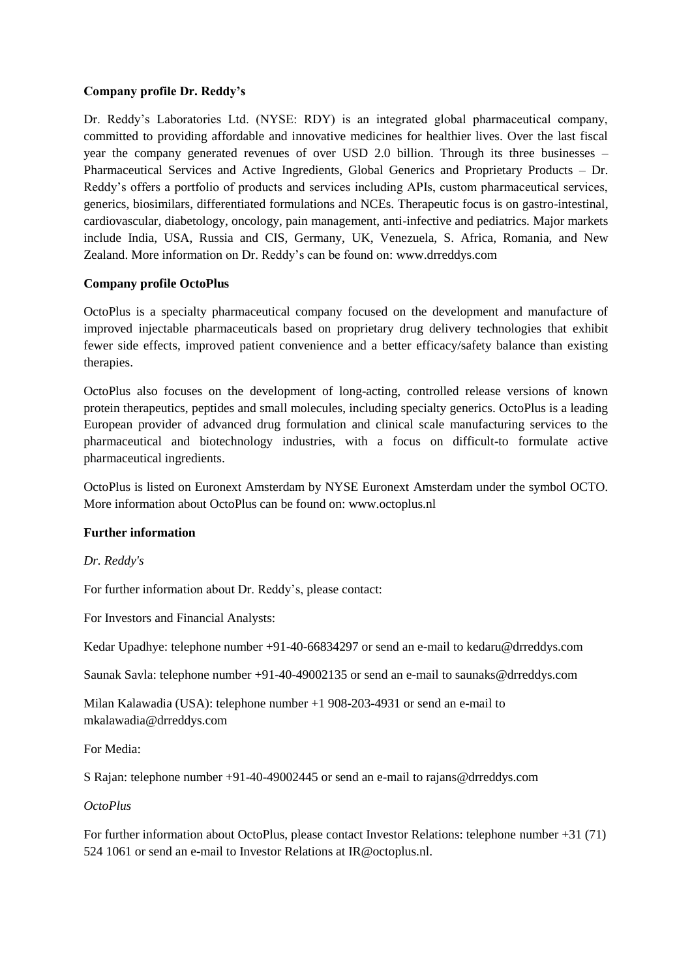## **Company profile Dr. Reddy's**

Dr. Reddy's Laboratories Ltd. (NYSE: RDY) is an integrated global pharmaceutical company, committed to providing affordable and innovative medicines for healthier lives. Over the last fiscal year the company generated revenues of over USD 2.0 billion. Through its three businesses – Pharmaceutical Services and Active Ingredients, Global Generics and Proprietary Products – Dr. Reddy's offers a portfolio of products and services including APIs, custom pharmaceutical services, generics, biosimilars, differentiated formulations and NCEs. Therapeutic focus is on gastro-intestinal, cardiovascular, diabetology, oncology, pain management, anti-infective and pediatrics. Major markets include India, USA, Russia and CIS, Germany, UK, Venezuela, S. Africa, Romania, and New Zealand. More information on Dr. Reddy's can be found on: www.drreddys.com

## **Company profile OctoPlus**

OctoPlus is a specialty pharmaceutical company focused on the development and manufacture of improved injectable pharmaceuticals based on proprietary drug delivery technologies that exhibit fewer side effects, improved patient convenience and a better efficacy/safety balance than existing therapies.

OctoPlus also focuses on the development of long-acting, controlled release versions of known protein therapeutics, peptides and small molecules, including specialty generics. OctoPlus is a leading European provider of advanced drug formulation and clinical scale manufacturing services to the pharmaceutical and biotechnology industries, with a focus on difficult-to formulate active pharmaceutical ingredients.

OctoPlus is listed on Euronext Amsterdam by NYSE Euronext Amsterdam under the symbol OCTO. More information about OctoPlus can be found on: www.octoplus.nl

### **Further information**

### *Dr. Reddy's*

For further information about Dr. Reddy's, please contact:

For Investors and Financial Analysts:

Kedar Upadhye: telephone number +91-40-66834297 or send an e-mail to [kedaru@drreddys.com](mailto:kedaru@drreddys.com)

Saunak Savla: telephone number +91-40-49002135 or send an e-mail t[o saunaks@drreddys.com](mailto:saunaks@drreddys.com)

Milan Kalawadia (USA): telephone number +1 908-203-4931 or send an e-mail to [mkalawadia@drreddys.com](mailto:mkalawadia@drreddys.com)

For Media:

S Rajan: telephone number +91-40-49002445 or send an e-mail t[o rajans@drreddys.com](mailto:rajans@drreddys.com)

### *OctoPlus*

For further information about OctoPlus, please contact Investor Relations: telephone number +31 (71) 524 1061 or send an e-mail to Investor Relations at IR@octoplus.nl.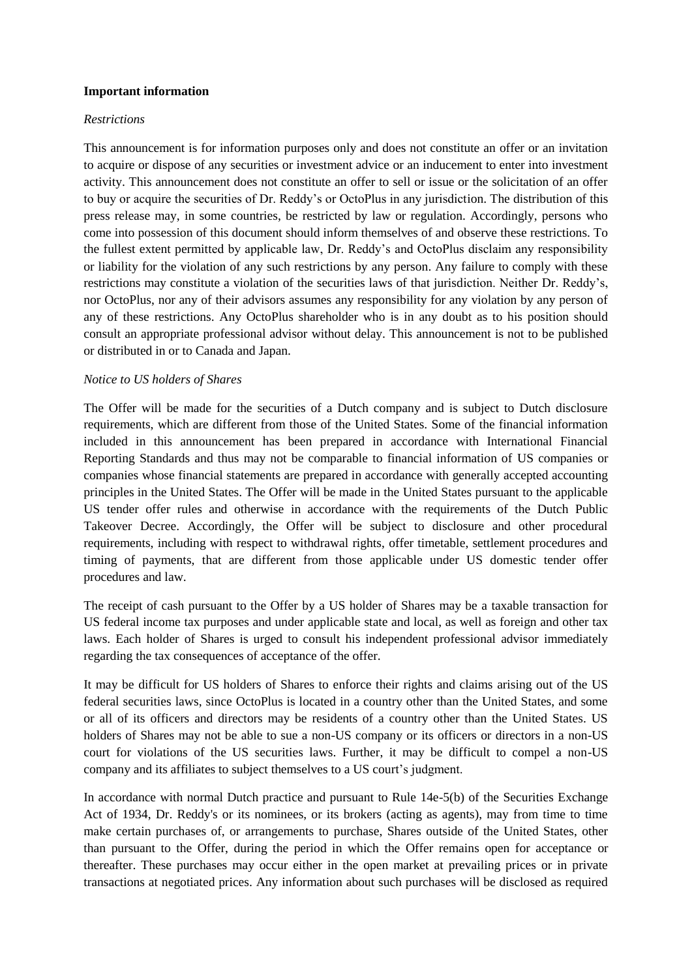#### **Important information**

#### *Restrictions*

This announcement is for information purposes only and does not constitute an offer or an invitation to acquire or dispose of any securities or investment advice or an inducement to enter into investment activity. This announcement does not constitute an offer to sell or issue or the solicitation of an offer to buy or acquire the securities of Dr. Reddy's or OctoPlus in any jurisdiction. The distribution of this press release may, in some countries, be restricted by law or regulation. Accordingly, persons who come into possession of this document should inform themselves of and observe these restrictions. To the fullest extent permitted by applicable law, Dr. Reddy's and OctoPlus disclaim any responsibility or liability for the violation of any such restrictions by any person. Any failure to comply with these restrictions may constitute a violation of the securities laws of that jurisdiction. Neither Dr. Reddy's, nor OctoPlus, nor any of their advisors assumes any responsibility for any violation by any person of any of these restrictions. Any OctoPlus shareholder who is in any doubt as to his position should consult an appropriate professional advisor without delay. This announcement is not to be published or distributed in or to Canada and Japan.

### *Notice to US holders of Shares*

The Offer will be made for the securities of a Dutch company and is subject to Dutch disclosure requirements, which are different from those of the United States. Some of the financial information included in this announcement has been prepared in accordance with International Financial Reporting Standards and thus may not be comparable to financial information of US companies or companies whose financial statements are prepared in accordance with generally accepted accounting principles in the United States. The Offer will be made in the United States pursuant to the applicable US tender offer rules and otherwise in accordance with the requirements of the Dutch Public Takeover Decree. Accordingly, the Offer will be subject to disclosure and other procedural requirements, including with respect to withdrawal rights, offer timetable, settlement procedures and timing of payments, that are different from those applicable under US domestic tender offer procedures and law.

The receipt of cash pursuant to the Offer by a US holder of Shares may be a taxable transaction for US federal income tax purposes and under applicable state and local, as well as foreign and other tax laws. Each holder of Shares is urged to consult his independent professional advisor immediately regarding the tax consequences of acceptance of the offer.

It may be difficult for US holders of Shares to enforce their rights and claims arising out of the US federal securities laws, since OctoPlus is located in a country other than the United States, and some or all of its officers and directors may be residents of a country other than the United States. US holders of Shares may not be able to sue a non-US company or its officers or directors in a non-US court for violations of the US securities laws. Further, it may be difficult to compel a non-US company and its affiliates to subject themselves to a US court's judgment.

In accordance with normal Dutch practice and pursuant to Rule 14e-5(b) of the Securities Exchange Act of 1934, Dr. Reddy's or its nominees, or its brokers (acting as agents), may from time to time make certain purchases of, or arrangements to purchase, Shares outside of the United States, other than pursuant to the Offer, during the period in which the Offer remains open for acceptance or thereafter. These purchases may occur either in the open market at prevailing prices or in private transactions at negotiated prices. Any information about such purchases will be disclosed as required